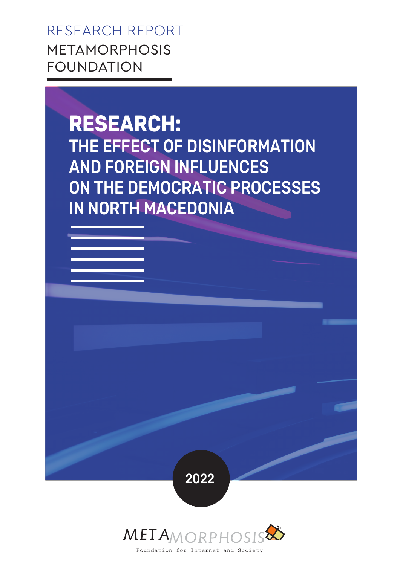Metamorphosis **FOUNDATION** Research report

> **RESEARCH:**  THE EFFECT OF DISINFORMATION AND FOREIGN INFLUENCES ON THE DEMOCRATIC PROCESSES IN NORTH MACEDONIA

> > 2022



Foundation for Internet and Society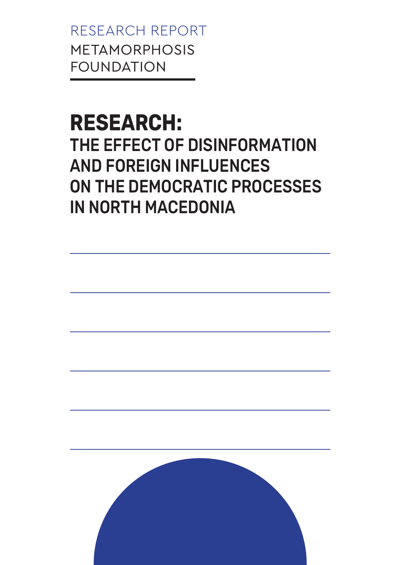Metamorphosis foundation Research report

# **RESEARCH:**  THE EFFECT OF DISINFORMATION AND FOREIGN INFLUENCES ON THE DEMOCRATIC PROCESSES IN NORTH MACEDONIA

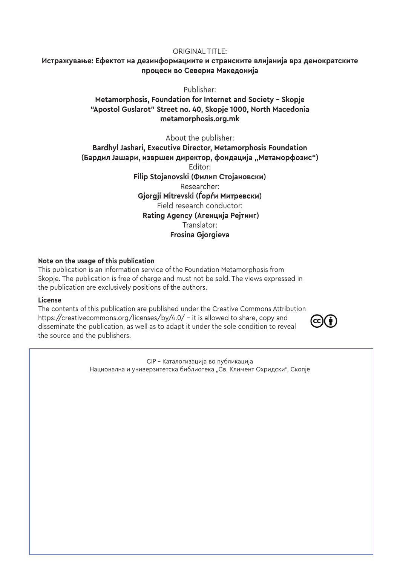#### ORIGINAL TITLE:

#### **Истражување: Ефектот на дезинформациите и странските влијанија врз демократските процеси во Северна Македонија**

Publisher:

#### **Metamorphosis, Foundation for Internet and Society – Skopje "Apostol Guslarot" Street no. 40, Skopje 1000, North Macedonia metamorphosis.org.mk**

#### About the publisher:

**Bardhyl Jashari, Executive Director, Metamorphosis Foundation**  (Бардил Јашари, извршен директор, фондација "Метаморфозис") Editor: **Filip Stojanovski (Филип Стојановски)**  Researcher: **Gjorgji Mitrevski (Ѓорѓи Митревски)** Field research conductor: **Rating Agency (Агенција Рејтинг)**  Translator: **Frosina Gjorgieva**

#### **Note on the usage of this publication**

This publication is an information service of the Foundation Metamorphosis from Skopje. The publication is free of charge and must not be sold. The views expressed in the publication are exclusively positions of the authors.

#### **License**

The contents of this publication are published under the Creative Commons Attribution https://creativecommons.org/licenses/by/4.0/ – it is allowed to share, copy and disseminate the publication, as well as to adapt it under the sole condition to reveal the source and the publishers.



CIP - Каталогизација во публикација Национална и универзитетска библиотека "Св. Климент Охридски", Скопје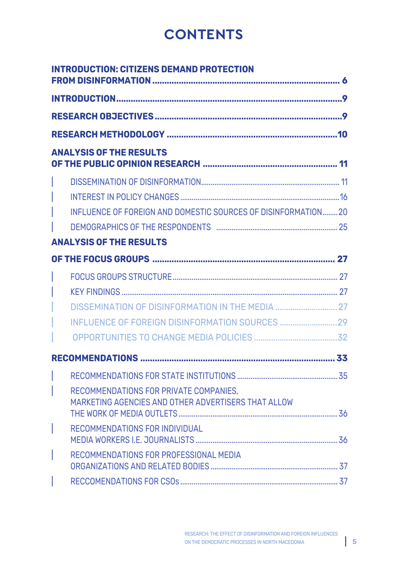## **Contents**

| <b>INTRODUCTION: CITIZENS DEMAND PROTECTION</b>                                               |    |
|-----------------------------------------------------------------------------------------------|----|
|                                                                                               | .9 |
|                                                                                               |    |
|                                                                                               |    |
| <b>ANALYSIS OF THE RESULTS</b>                                                                |    |
|                                                                                               |    |
|                                                                                               |    |
| INFLUENCE OF FOREIGN AND DOMESTIC SOURCES OF DISINFORMATION20                                 |    |
|                                                                                               |    |
| <b>ANALYSIS OF THE RESULTS</b>                                                                |    |
|                                                                                               |    |
|                                                                                               |    |
|                                                                                               |    |
|                                                                                               |    |
|                                                                                               |    |
|                                                                                               |    |
|                                                                                               |    |
|                                                                                               |    |
| RECOMMENDATIONS FOR PRIVATE COMPANIES,<br>MARKETING AGENCIES AND OTHER ADVERTISERS THAT ALLOW | 36 |
| <b>RECOMMENDATIONS FOR INDIVIDUAL</b>                                                         | 36 |
| RECOMMENDATIONS FOR PROFESSIONAL MEDIA                                                        |    |
|                                                                                               |    |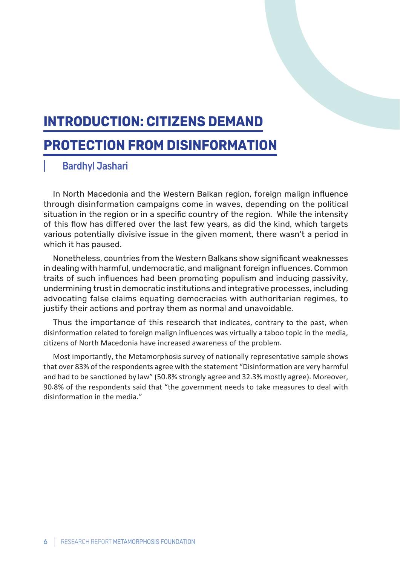## **Introduction: Citizens demand protection from disinformation**

### | Bardhyl Jashari

In North Macedonia and the Western Balkan region, foreign malign influence through disinformation campaigns come in waves, depending on the political situation in the region or in a specific country of the region. While the intensity of this flow has differed over the last few years, as did the kind, which targets various potentially divisive issue in the given moment, there wasn't a period in which it has paused.

Nonetheless, countries from the Western Balkans show significant weaknesses in dealing with harmful, undemocratic, and malignant foreign influences. Common traits of such influences had been promoting populism and inducing passivity, undermining trust in democratic institutions and integrative processes, including advocating false claims equating democracies with authoritarian regimes, to justify their actions and portray them as normal and unavoidable.

Thus the importance of this research that indicates, contrary to the past, when disinformation related to foreign malign influences was virtually a taboo topic in the media, citizens of North Macedonia have increased awareness of the problem.

Most importantly, the Metamorphosis survey of nationally representative sample shows that over 83% of the respondents agree with the statement "Disinformation are very harmful and had to be sanctioned by law" (50.8% strongly agree and 32.3% mostly agree). Moreover, 90.8% of the respondents said that "the government needs to take measures to deal with disinformation in the media."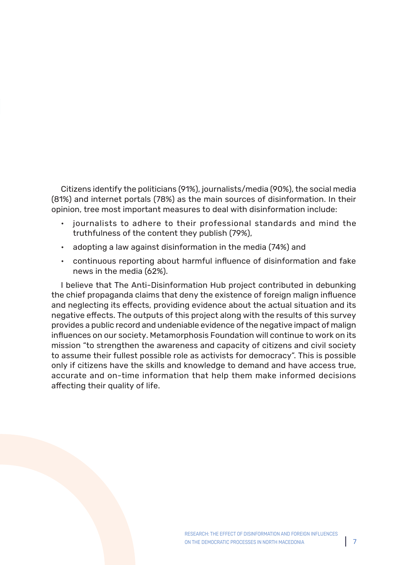Citizens identify the politicians (91%), journalists/media (90%), the social media (81%) and internet portals (78%) as the main sources of disinformation. In their opinion, tree most important measures to deal with disinformation include:

- journalists to adhere to their professional standards and mind the truthfulness of the content they publish (79%),
- adopting a law against disinformation in the media (74%) and
- continuous reporting about harmful influence of disinformation and fake news in the media (62%).

I believe that The Anti-Disinformation Hub project contributed in debunking the chief propaganda claims that deny the existence of foreign malign influence and neglecting its effects, providing evidence about the actual situation and its negative effects. The outputs of this project along with the results of this survey provides a public record and undeniable evidence of the negative impact of malign influences on our society. Metamorphosis Foundation will continue to work on its mission "to strengthen the awareness and capacity of citizens and civil society to assume their fullest possible role as activists for democracy". This is possible only if citizens have the skills and knowledge to demand and have access true, accurate and on-time information that help them make informed decisions affecting their quality of life.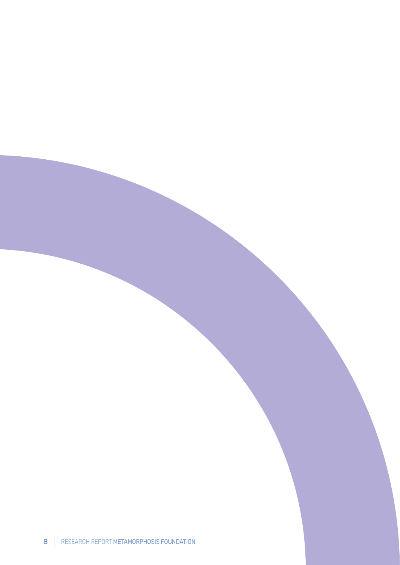**RESEARCH REPORT METAMORPHOSIS FOUNDATION**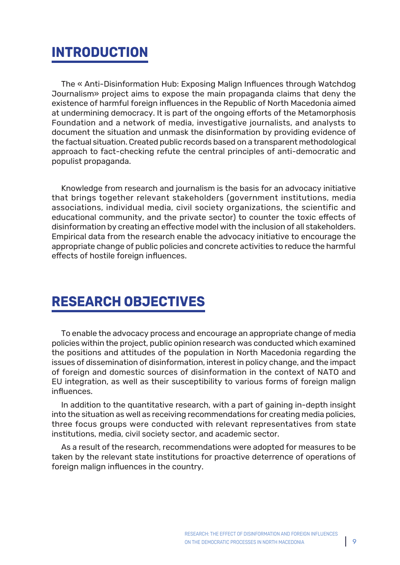## **INTRODUCTION**

The « Anti-Disinformation Hub: Exposing Malign Influences through Watchdog Journalism» project aims to expose the main propaganda claims that deny the existence of harmful foreign influences in the Republic of North Macedonia aimed at undermining democracy. It is part of the ongoing efforts of the Metamorphosis Foundation and a network of media, investigative journalists, and analysts to document the situation and unmask the disinformation by providing evidence of the factual situation. Created public records based on a transparent methodological approach to fact-checking refute the central principles of anti-democratic and populist propaganda.

Knowledge from research and journalism is the basis for an advocacy initiative that brings together relevant stakeholders (government institutions, media associations, individual media, civil society organizations, the scientific and educational community, and the private sector) to counter the toxic effects of disinformation by creating an effective model with the inclusion of all stakeholders. Empirical data from the research enable the advocacy initiative to encourage the appropriate change of public policies and concrete activities to reduce the harmful effects of hostile foreign influences.

## **RESEARCH OBJECTIVES**

To enable the advocacy process and encourage an appropriate change of media policies within the project, public opinion research was conducted which examined the positions and attitudes of the population in North Macedonia regarding the issues of dissemination of disinformation, interest in policy change, and the impact of foreign and domestic sources of disinformation in the context of NATO and EU integration, as well as their susceptibility to various forms of foreign malign influences.

In addition to the quantitative research, with a part of gaining in-depth insight into the situation as well as receiving recommendations for creating media policies, three focus groups were conducted with relevant representatives from state institutions, media, civil society sector, and academic sector.

As a result of the research, recommendations were adopted for measures to be taken by the relevant state institutions for proactive deterrence of operations of foreign malign influences in the country.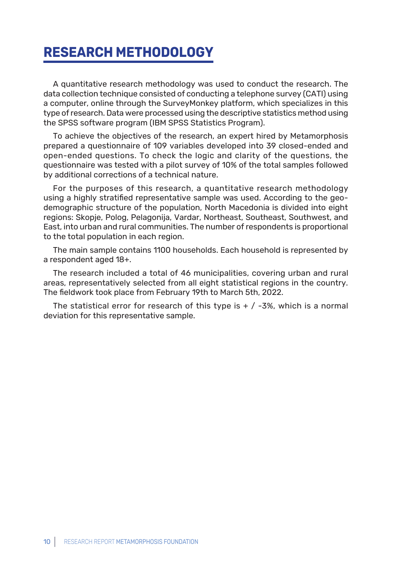## **RESEARCH METHODOLOGY**

A quantitative research methodology was used to conduct the research. The data collection technique consisted of conducting a telephone survey (CATI) using a computer, online through the SurveyMonkey platform, which specializes in this type of research. Data were processed using the descriptive statistics method using the SPSS software program (IBM SPSS Statistics Program).

To achieve the objectives of the research, an expert hired by Metamorphosis prepared a questionnaire of 109 variables developed into 39 closed-ended and open-ended questions. To check the logic and clarity of the questions, the questionnaire was tested with a pilot survey of 10% of the total samples followed by additional corrections of a technical nature.

For the purposes of this research, a quantitative research methodology using a highly stratified representative sample was used. According to the geodemographic structure of the population, North Macedonia is divided into eight regions: Skopje, Polog, Pelagonija, Vardar, Northeast, Southeast, Southwest, and East, into urban and rural communities. The number of respondents is proportional to the total population in each region.

The main sample contains 1100 households. Each household is represented by a respondent aged 18+.

The research included a total of 46 municipalities, covering urban and rural areas, representatively selected from all eight statistical regions in the country. The fieldwork took place from February 19th to March 5th, 2022.

The statistical error for research of this type is  $+$  / -3%, which is a normal deviation for this representative sample.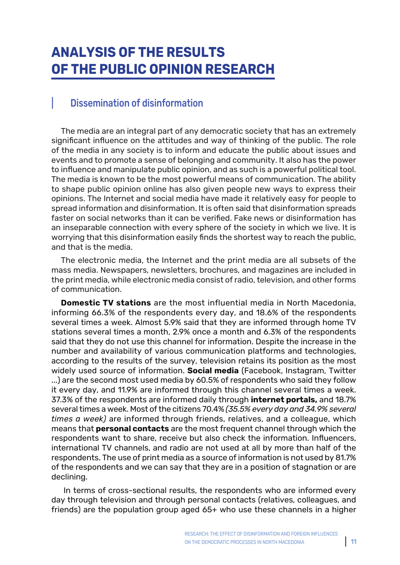## **ANALYSIS OF THE RESULTS OF THE PUBLIC OPINION RESEARCH**

### Dissemination of disinformation

The media are an integral part of any democratic society that has an extremely significant influence on the attitudes and way of thinking of the public. The role of the media in any society is to inform and educate the public about issues and events and to promote a sense of belonging and community. It also has the power to influence and manipulate public opinion, and as such is a powerful political tool. The media is known to be the most powerful means of communication. The ability to shape public opinion online has also given people new ways to express their opinions. The Internet and social media have made it relatively easy for people to spread information and disinformation. It is often said that disinformation spreads faster on social networks than it can be verified. Fake news or disinformation has an inseparable connection with every sphere of the society in which we live. It is worrying that this disinformation easily finds the shortest way to reach the public, and that is the media.

The electronic media, the Internet and the print media are all subsets of the mass media. Newspapers, newsletters, brochures, and magazines are included in the print media, while electronic media consist of radio, television, and other forms of communication.

**Domestic TV stations** are the most influential media in North Macedonia, informing 66.3% of the respondents every day, and 18.6% of the respondents several times a week. Almost 5.9% said that they are informed through home TV stations several times a month, 2.9% once a month and 6.3% of the respondents said that they do not use this channel for information. Despite the increase in the number and availability of various communication platforms and technologies, according to the results of the survey, television retains its position as the most widely used source of information. **Social media** (Facebook, Instagram, Twitter ...) are the second most used media by 60.5% of respondents who said they follow it every day, and 11.9% are informed through this channel several times a week. 37.3% of the respondents are informed daily through **internet portals,** and 18.7% several times a week. Most of the citizens 70.4% *(35.5% every day and 34.9% several times a week)* are informed through friends, relatives, and a colleague, which means that **personal contacts** are the most frequent channel through which the respondents want to share, receive but also check the information. Influencers, international TV channels, and radio are not used at all by more than half of the respondents. The use of print media as a source of information is not used by 81.7% of the respondents and we can say that they are in a position of stagnation or are declining.

 In terms of cross-sectional results, the respondents who are informed every day through television and through personal contacts (relatives, colleagues, and friends) are the population group aged 65+ who use these channels in a higher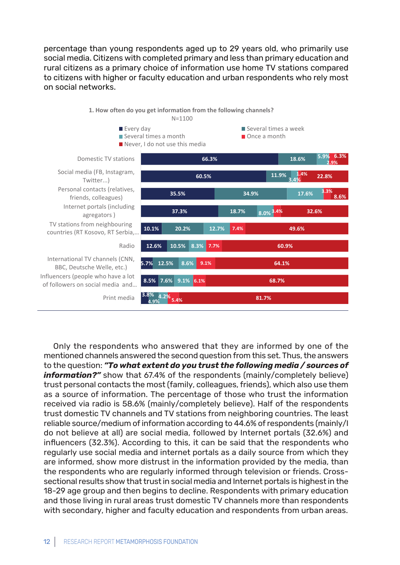percentage than young respondents aged up to 29 years old, who primarily use persontage than young responsonts ages up to 27 years old, mile primarily use<br>social media. Citizens with completed primary and less than primary education and rural citizens as a primary choice of information use home TV stations compared to citizens with higher or faculty education and urban respondents who rely most on social networks. The information use home TV station use home TV stations with the citizens with  $\alpha$ 



Only the respondents who answered that they are informed by one of the mentioned channels answered the second question from this set. Thus, the answers to the question: *"To what extent do you trust the following media / sources of information?"* show that 67.4% of the respondents (mainly/completely believe) trust personal contacts the most (family, colleagues, friends), which also use them as a source of information. The percentage of those who trust the information received via radio is 58.6% (mainly/completely believe). Half of the respondents trust domestic TV channels and TV stations from neighboring countries. The least reliable source/medium of information according to 44.6% of respondents (mainly/I do not believe at all) are social media, followed by Internet portals (32.6%) and influencers (32.3%). According to this, it can be said that the respondents who regularly use social media and internet portals as a daily source from which they are informed, show more distrust in the information provided by the media, than the respondents who are regularly informed through television or friends. Crosssectional results show that trust in social media and Internet portals is highest in the 18-29 age group and then begins to decline. Respondents with primary education and those living in rural areas trust domestic TV channels more than respondents with secondary, higher and faculty education and respondents from urban areas.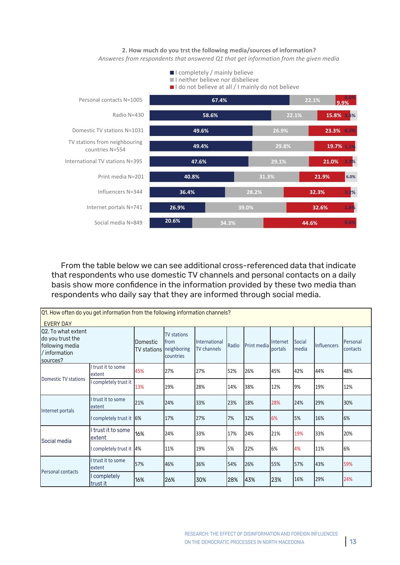#### **2. How much do you trst the following media/sources of information?** *Answeres from respondents that answered Q1 that get information from the given media*



From the table below we can see additional cross-referenced data that indicate that respondents who use domestic TV channels and personal contacts on a daily basis show more confidence in the information provided by these two media than respondents who daily say that they are informed through social media.

| [Q1. How often do you get information from the following information channels?<br><b>EVERY DAY</b> |                              |                                       |                                          |                                     |       |             |                     |                 |                    |                      |
|----------------------------------------------------------------------------------------------------|------------------------------|---------------------------------------|------------------------------------------|-------------------------------------|-------|-------------|---------------------|-----------------|--------------------|----------------------|
| IQ2. To what extent<br>do you trust the<br>following media<br>/ information<br>sources?            |                              | Domestic<br>TV stations   neighboring | <b>TV</b> stations<br>Ifrom<br>countries | International<br><b>TV</b> channels | Radio | Print media | Internet<br>portals | Social<br>media | <b>Influencers</b> | Personal<br>contacts |
|                                                                                                    | I trust it to some<br>extent | 45%                                   | 27%                                      | 27%                                 | 52%   | 26%         | 45%                 | 42%             | 44%                | 48%                  |
| Domestic TV stations                                                                               | completely trust it          | 13%                                   | 19%                                      | 28%                                 | 14%   | 38%         | 12%                 | 19%             | 19%                | 12%                  |
| Internet portals                                                                                   | I trust it to some<br>extent | 21%                                   | 24%                                      | 33%                                 | 23%   | 18%         | 28%                 | 24%             | 29%                | 30%                  |
|                                                                                                    | I completely trust it        | 16%                                   | 17%                                      | 27%                                 | 7%    | 32%         | 6%                  | 5%              | 16%                | 6%                   |
| Social media                                                                                       | trust it to some<br>extent   | 16%                                   | 24%                                      | 33%                                 | 17%   | 24%         | 21%                 | 19%             | 33%                | 20%                  |
|                                                                                                    | completely trust it          | 14%                                   | 11%                                      | 19%                                 | 5%    | 22%         | 16%                 | 4%              | 11%                | 6%                   |
| Personal contacts                                                                                  | I trust it to some<br>extent | 57%                                   | 46%                                      | 36%                                 | 54%   | 26%         | 55%                 | 57%             | 43%                | 59%                  |
|                                                                                                    | completely<br>trust it       | 16%                                   | 26%                                      | 30%                                 | 28%   | 43%         | 23%                 | 16%             | 29%                | 24%                  |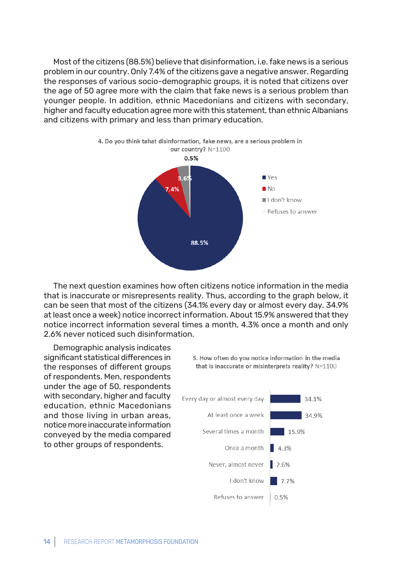Most of the citizens (88.5%) believe that disinformation, i.e. fake news is a serious problem in our country. Only 7.4% of the citizens gave a negative answer. Regarding the responses of various socio-demographic groups, it is noted that citizens over the age of 50 agree more with the claim that fake news is a serious problem than younger people. In addition, ethnic Macedonians and citizens with secondary, higher and faculty education agree more with this statement, than ethnic Albanians and citizens with primary and less than primary education.



The next question examines how often citizens notice information in the media that is inaccurate or misrepresents reality. Thus, according to the graph below, it can be seen that most of the citizens (34.1% every day or almost every day, 34.9% at least once a week) notice incorrect information. About 15.9% answered that they notice incorrect information several times a month, 4.3% once a month and only 2.6% never noticed such disinformation.

Demographic analysis indicates significant statistical differences in the responses of different groups of respondents. Men, respondents under the age of 50, respondents with secondary, higher and faculty education, ethnic Macedonians and those living in urban areas, notice more inaccurate information conveyed by the media compared to other groups of respondents.

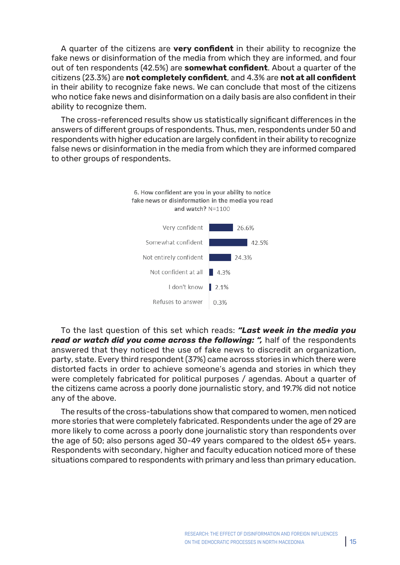A quarter of the citizens are **very confident** in their ability to recognize the fake news or disinformation of the media from which they are informed, and four out of ten respondents (42.5%) are **somewhat confident**. About a quarter of the citizens (23.3%) are **not completely confident**, and 4.3% are **not at all confident** in their ability to recognize fake news. We can conclude that most of the citizens who notice fake news and disinformation on a daily basis are also confident in their ability to recognize them.

The cross-referenced results show us statistically significant differences in the answers of different groups of respondents. Thus, men, respondents under 50 and respondents with higher education are largely confident in their ability to recognize false news or disinformation in the media from which they are informed compared to other groups of respondents.



To the last question of this set which reads: *"Last week in the media you read or watch did you come across the following: ",* half of the respondents answered that they noticed the use of fake news to discredit an organization, party, state. Every third respondent (37%) came across stories in which there were distorted facts in order to achieve someone's agenda and stories in which they were completely fabricated for political purposes / agendas. About a quarter of the citizens came across a poorly done journalistic story, and 19.7% did not notice any of the above.

The results of the cross-tabulations show that compared to women, men noticed more stories that were completely fabricated. Respondents under the age of 29 are more likely to come across a poorly done journalistic story than respondents over the age of 50; also persons aged 30-49 years compared to the oldest 65+ years. Respondents with secondary, higher and faculty education noticed more of these situations compared to respondents with primary and less than primary education.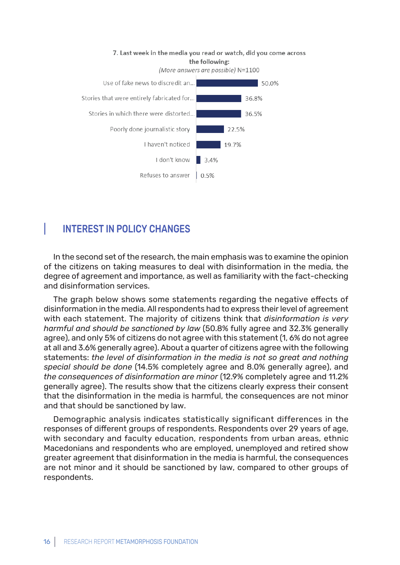

### | INTEREST IN POLICY CHANGES

In the second set of the research, the main emphasis was to examine the opinion of the citizens on taking measures to deal with disinformation in the media, the degree of agreement and importance, as well as familiarity with the fact-checking and disinformation services.

The graph below shows some statements regarding the negative effects of disinformation in the media. All respondents had to express their level of agreement with each statement. The majority of citizens think that *disinformation is very harmful and should be sanctioned by law* (50.8% fully agree and 32.3% generally agree), and only 5% of citizens do not agree with this statement (1, 6% do not agree at all and 3.6% generally agree). About a quarter of citizens agree with the following statements: *the level of disinformation in the media is not so great and nothing special should be done* (14.5% completely agree and 8.0% generally agree), and *the consequences of disinformation are minor* (12.9% completely agree and 11.2% generally agree). The results show that the citizens clearly express their consent that the disinformation in the media is harmful, the consequences are not minor and that should be sanctioned by law.

Demographic analysis indicates statistically significant differences in the responses of different groups of respondents. Respondents over 29 years of age, with secondary and faculty education, respondents from urban areas, ethnic Macedonians and respondents who are employed, unemployed and retired show greater agreement that disinformation in the media is harmful, the consequences are not minor and it should be sanctioned by law, compared to other groups of respondents.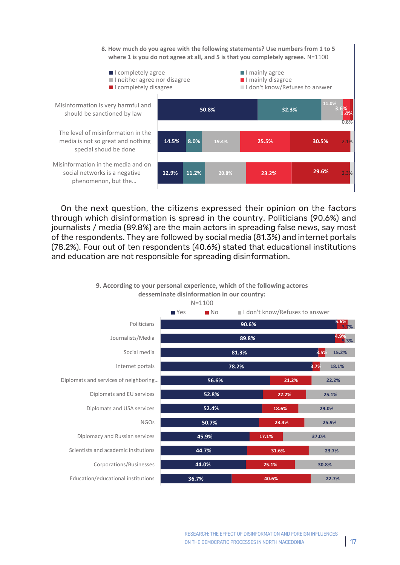**8. How much do you agree with the following statements? Use numbers from 1 to 5 where 1 is you do not agree at all, and 5 is that you completely agreee.** N=1100



On the next question, the citizens expressed their opinion on the factors through which disinformation is spread in the country. Politicians (90.6%) and journalists / media (89.8%) are the main actors in spreading false news, say most of the respondents. They are followed by social media (81.3%) and internet portals (78.2%). Four out of ten respondents (40.6%) stated that educational institutions **9. According to your personal experience, which of the following actores**  and education are not responsible for spreading disinformation.

#### **9. According to your personal experience, which of the following actores**  $y$ <sub>y</sub>  $y$  denote an experience, which of the following actores desseminate disinformation in our country:

|                                       | $N = 1100$         |                   |                                  |               |
|---------------------------------------|--------------------|-------------------|----------------------------------|---------------|
|                                       | $\blacksquare$ Yes | $\blacksquare$ No | I I don't know/Refuses to answer |               |
| Politicians                           |                    | 90.6%             |                                  | 5.6%<br>3.7%  |
| Journalists/Media                     | 89.8%              |                   |                                  | 4.9% 3%       |
| Social media                          | 81.3%              |                   |                                  | 15.2%<br>3.5% |
| Internet portals                      | 78.2%              |                   |                                  | 3.7%<br>18.1% |
| Diplomats and services of neighboring |                    | 56.6%             | 21.2%                            | 22.2%         |
| Diplomats and EU services             |                    | 52.8%             | 22.2%                            | 25.1%         |
| Diplomats and USA services            |                    | 52.4%             | 18.6%                            | 29.0%         |
| <b>NGOs</b>                           |                    | 50.7%             | 23.4%                            | 25.9%         |
| Diplomacy and Russian services        | 45.9%              |                   | 17.1%                            | 37.0%         |
| Scientists and academic insitutions   | 44.7%              |                   | 31.6%                            | 23.7%         |
| Corporations/Businesses               | 44.0%              |                   | 25.1%                            | 30.8%         |
| Education/educational institutions    | 36.7%              |                   | 40.6%                            | 22.7%         |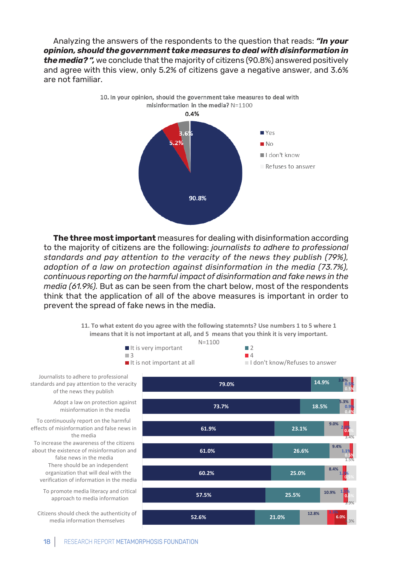Analyzing the answers of the respondents to the question that reads: *"In your opinion, should the government take measures to deal with disinformation in the media? ",* we conclude that the majority of citizens (90.8%) answered positively and agree with this view, only 5.2% of citizens gave a negative answer, and 3.6% are not familiar.



**The three most important** measures for dealing with disinformation according to the majority of citizens are the following: *journalists to adhere to professional standards and pay attention to the veracity of the news they publish (79%), adoption of a law on protection against disinformation in the media (73.7%), continuous reporting on the harmful impact of disinformation and fake news in the media (61.9%).* But as can be seen from the chart below, most of the respondents think that the application of all of the above measures is important in order to prevent the spread of fake news in the media.

> **11. To what extent do you agree with the following statemnts? Use numbers 1 to 5 where 1 imeans that it is not important at all, and 5 means that you think it is very important.**

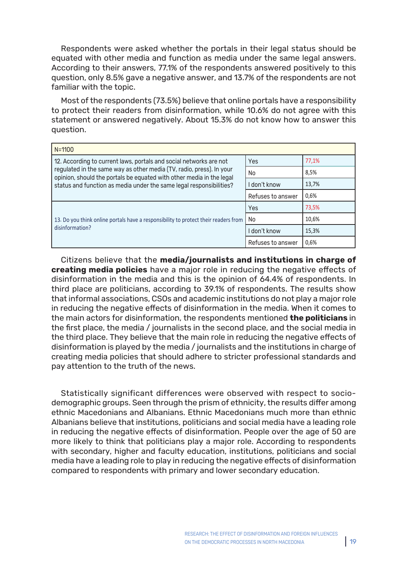Respondents were asked whether the portals in their legal status should be equated with other media and function as media under the same legal answers. According to their answers, 77.1% of the respondents answered positively to this question, only 8.5% gave a negative answer, and 13.7% of the respondents are not familiar with the topic.

Most of the respondents (73.5%) believe that online portals have a responsibility to protect their readers from disinformation, while 10.6% do not agree with this statement or answered negatively. About 15.3% do not know how to answer this question.

| $N = 1100$                                                                                                                                   |                   |       |  |  |
|----------------------------------------------------------------------------------------------------------------------------------------------|-------------------|-------|--|--|
| 12. According to current laws, portals and social networks are not                                                                           | Yes               | 77,1% |  |  |
| regulated in the same way as other media (TV, radio, press). In your<br>opinion, should the portals be equated with other media in the legal | No                | 8,5%  |  |  |
| status and function as media under the same legal responsibilities?                                                                          | I don't know      | 13,7% |  |  |
|                                                                                                                                              | Refuses to answer | 0,6%  |  |  |
|                                                                                                                                              | Yes               | 73,5% |  |  |
| 13. Do you think online portals have a responsibility to protect their readers from                                                          | No                | 10,6% |  |  |
| disinformation?                                                                                                                              | I don't know      | 15,3% |  |  |
|                                                                                                                                              | Refuses to answer | 0,6%  |  |  |

Citizens believe that the **media/journalists and institutions in charge of creating media policies** have a major role in reducing the negative effects of disinformation in the media and this is the opinion of 64.4% of respondents. In third place are politicians, according to 39.1% of respondents. The results show that informal associations, CSOs and academic institutions do not play a major role in reducing the negative effects of disinformation in the media. When it comes to the main actors for disinformation, the respondents mentioned **the politicians** in the first place, the media / journalists in the second place, and the social media in the third place. They believe that the main role in reducing the negative effects of disinformation is played by the media / journalists and the institutions in charge of creating media policies that should adhere to stricter professional standards and pay attention to the truth of the news.

Statistically significant differences were observed with respect to sociodemographic groups. Seen through the prism of ethnicity, the results differ among ethnic Macedonians and Albanians. Ethnic Macedonians much more than ethnic Albanians believe that institutions, politicians and social media have a leading role in reducing the negative effects of disinformation. People over the age of 50 are more likely to think that politicians play a major role. According to respondents with secondary, higher and faculty education, institutions, politicians and social media have a leading role to play in reducing the negative effects of disinformation compared to respondents with primary and lower secondary education.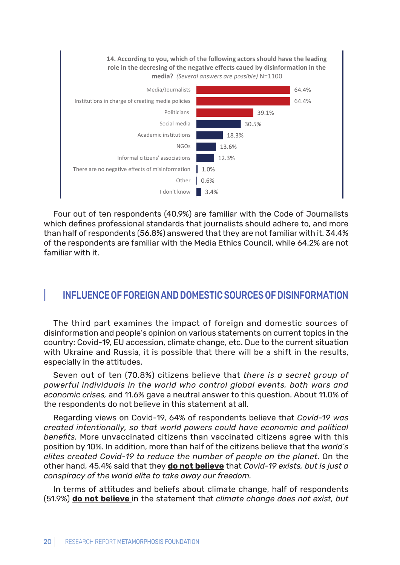

Four out of ten respondents (40.9%) are familiar with the Code of Journalists which defines professional standards that journalists should adhere to, and more than half of respondents (56.8%) answered that they are not familiar with it. 34.4% of the respondents are familiar with the Media Ethics Council, while 64.2% are not familiar with it.

### | INFLUENCE OF FOREIGN AND DOMESTIC SOURCES OF DISINFORMATION

The third part examines the impact of foreign and domestic sources of disinformation and people's opinion on various statements on current topics in the country: Covid-19, EU accession, climate change, etc. Due to the current situation with Ukraine and Russia, it is possible that there will be a shift in the results, especially in the attitudes.

Seven out of ten (70.8%) citizens believe that *there is a secret group of powerful individuals in the world who control global events, both wars and economic crises,* and 11.6% gave a neutral answer to this question. About 11.0% of the respondents do not believe in this statement at all.

Regarding views on Covid-19, 64% of respondents believe that *Covid-19 was created intentionally, so that world powers could have economic and political benefits.* More unvaccinated citizens than vaccinated citizens agree with this position by 10%. In addition, more than half of the citizens believe that the *world's elites created Covid-19 to reduce the number of people on the planet*. On the other hand, 45.4% said that they **do not believe** that *Covid-19 exists, but is just a conspiracy of the world elite to take away our freedom.*

In terms of attitudes and beliefs about climate change, half of respondents (51.9%) **do not believe** in the statement that *climate change does not exist, but*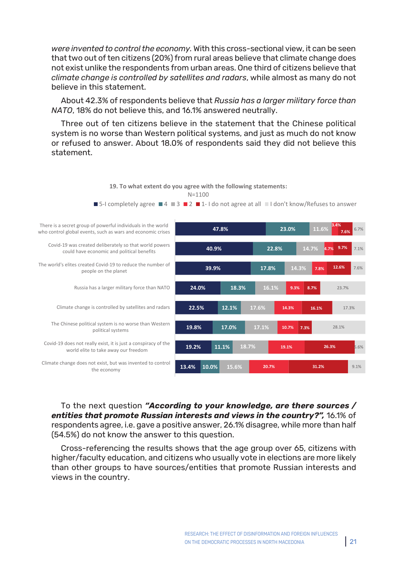*were invented to control the economy.* With this cross-sectional view, it can be seen that two out of ten citizens (20%) from rural areas believe that climate change does not exist unlike the respondents from urban areas. One third of citizens believe that *climate change is controlled by satellites and radars*, while almost as many do not believe in this statement.

About 42.3% of respondents believe that *Russia has a larger military force than NATO*, 18% do not believe this, and 16.1% answered neutrally.

Three out of ten citizens believe in the statement that the Chinese political system is no worse than Western political systems, and just as much do not know or refused to answer. About 18.0% of respondents said they did not believe this statement.



To the next question "According to your knowledge, are there sources / entities that promote Russian interests and views in the country?", 16.1% of respondents agree, i.e. gave a positive answer, 26.1% disagree, while more than half<br>(F.e. F.W.) (54.5%) do not know the answer to this question.

Cross-referencing the results shows that the age group over 65, citizens with higher/faculty education, and citizens who usually vote in elections are more likely than other groups to have sources/entities that promote Russian interests and **20. According to your knowledge, are there sources/entities that**   $\nu$  views in the country.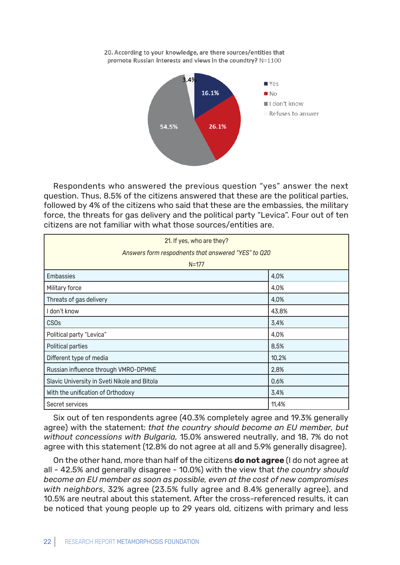

Respondents who answered the previous question "yes" answer the next question. Thus, 8.5% of the citizens answered that these are the political parties, followed by 4% of the citizens who said that these are the embassies, the military force, the threats for gas delivery and the political party "Levica". Four out of ten citizens are not familiar with what those sources/entities are.

20. According to your knowledge, are there sources/entities that

| 21. If yes, who are they?                           |       |  |  |  |
|-----------------------------------------------------|-------|--|--|--|
| Answers form respodnents that answered "YES" to Q20 |       |  |  |  |
| $N = 177$                                           |       |  |  |  |
| Embassies                                           | 4,0%  |  |  |  |
| Military force                                      | 4,0%  |  |  |  |
| Threats of gas delivery                             | 4,0%  |  |  |  |
| I don't know                                        | 43,8% |  |  |  |
| <b>CSO<sub>s</sub></b>                              | 3,4%  |  |  |  |
| Political party "Levica"                            | 4,0%  |  |  |  |
| Political parties                                   | 8,5%  |  |  |  |
| Different type of media                             | 10,2% |  |  |  |
| Russian influence through VMRO-DPMNE                | 2,8%  |  |  |  |
| Slavic University in Sveti Nikole and Bitola        | 0,6%  |  |  |  |
| With the unification of Orthodoxy                   | 3,4%  |  |  |  |
| Secret services                                     | 11,4% |  |  |  |

Six out of ten respondents agree (40.3% completely agree and 19.3% generally agree) with the statement: *that the country should become an EU member, but without concessions with Bulgaria,* 15.0% answered neutrally, and 18, 7% do not agree with this statement (12.8% do not agree at all and 5.9% generally disagree).

On the other hand, more than half of the citizens **do not agree** (I do not agree at all - 42.5% and generally disagree - 10.0%) with the view that *the country should become an EU member as soon as possible, even at the cost of new compromises with neighbors*, 32% agree (23.5% fully agree and 8.4% generally agree), and 10.5% are neutral about this statement. After the cross-referenced results, it can be noticed that young people up to 29 years old, citizens with primary and less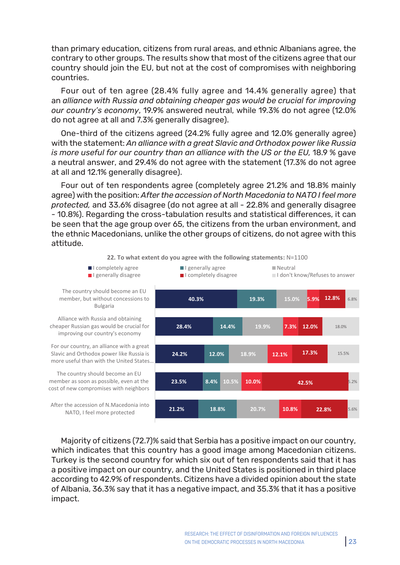than primary education, citizens from rural areas, and ethnic Albanians agree, the contrary to other groups. The results show that most of the citizens agree that our country should join the EU, but not at the cost of compromises with neighboring countries.

Four out of ten agree (28.4% fully agree and 14.4% generally agree) that an *alliance with Russia and obtaining cheaper gas would be crucial for improving our country's economy*, 19.9% answered neutral, while 19.3% do not agree (12.0% do not agree at all and 7.3% generally disagree).

One-third of the citizens agreed (24.2% fully agree and 12.0% generally agree) with the statement: *An alliance with a great Slavic and Orthodox power like Russia is more useful for our country than an alliance with the US or the EU,* 18.9 % gave a neutral answer, and 29.4% do not agree with the statement (17.3% do not agree at all and 12.1% generally disagree).

Four out of ten respondents agree (completely agree 21.2% and 18.8% mainly agree) with the position: *After the accession of North Macedonia to NATO I feel more* protected, and 33.6% disagree (do not agree at all - 22.8% and generally disagree - 10.8%). Regarding the cross-tabulation results and statistical differences, it can be seen that the age group over 65, the citizens from the urban environment, and the ethnic Macedonians, unlike the other groups of citizens, do not agree with this attitude.



**22. To what extent do you agree with the following statements:** N=1100

Majority of citizens (72.7)% said that Serbia has a positive impact on our country, Majority of citizens (72.7)% said that Serbia has a positive impact on our country, which which indicates that this country has a good image among Macedonian citizens. Turkey is the second country for which six out of ten respondents said that it has a positive impact on our country, and the United States is positioned in third place according to 42.9% of respondents. Citizens have a divided opinion about the state of Albania, 36.3% say that it has a negative impact, and 35.3% that it has a positive impact.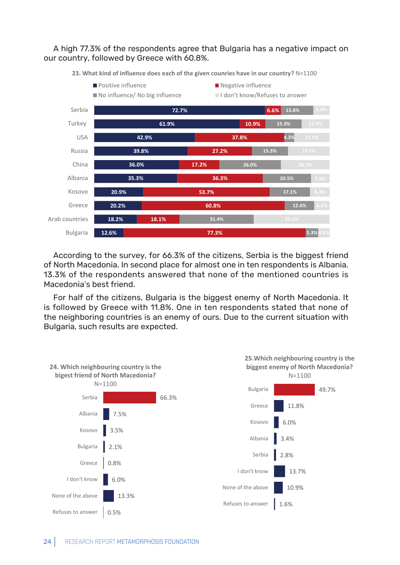#### A high 77.3% of the respondents agree that Bulgaria has a negative impact on our country, followed by Greece with 60.8%.



**23. What kind of influence does each of the given counries have in our country?** N=1100

According to the survey, for 66.3% of the citizens, Serbia is the biggest friend of North Macedonia. In second place for almost one in ten respondents is Albania. 13.3% of the respondents answered that none of the mentioned countries is Macedonia's best friend. In second place for almost one in ten respondents is  $\mathcal{L}$ 

For half of the citizens, Bulgaria is the biggest enemy of North Macedonia. It is followed by Greece with 11.8%. One in ten respondents stated that none of the neighboring countries is an enemy of ours. Due to the current situation with Bulgaria, such results are expected. Greece with 11.8% and none of the neighboring countries is an enemy of the neighboring countries is an enemy of the neighboring countries is an energy countries in the neighboring count

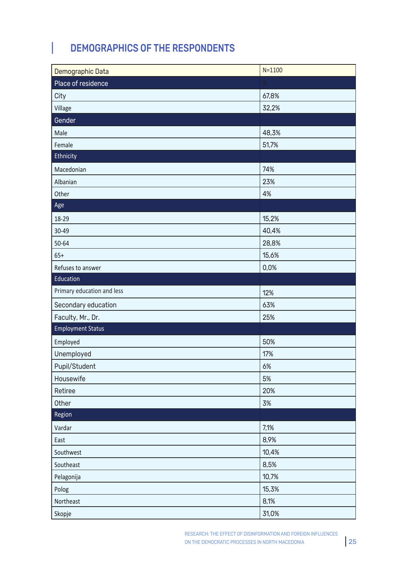## | DEMOGRAPHICS OF THE RESPONDENTS

| Demographic Data           | $N = 1100$ |
|----------------------------|------------|
| Place of residence         |            |
| City                       | 67,8%      |
| Village                    | 32,2%      |
| Gender                     |            |
| Male                       | 48,3%      |
| Female                     | 51,7%      |
| Ethnicity                  |            |
| Macedonian                 | 74%        |
| Albanian                   | 23%        |
| Other                      | 4%         |
| Age                        |            |
| 18-29                      | 15,2%      |
| 30-49                      | 40,4%      |
| 50-64                      | 28,8%      |
| $65+$                      | 15,6%      |
| Refuses to answer          | 0,0%       |
| Education                  |            |
| Primary education and less | 12%        |
| Secondary education        | 63%        |
| Faculty, Mr., Dr.          | 25%        |
| <b>Employment Status</b>   |            |
| Employed                   | 50%        |
| Unemployed                 | 17%        |
| Pupil/Student              | $6\%$      |
| Housewife                  | 5%         |
| Retiree                    | 20%        |
| Other                      | 3%         |
| Region                     |            |
| Vardar                     | 7,1%       |
| East                       | 8,9%       |
| Southwest                  | 10,4%      |
| Southeast                  | 8,5%       |
| Pelagonija                 | 10,7%      |
| Polog                      | 15,3%      |
| Northeast                  | 8,1%       |
| Skopje                     | 31,0%      |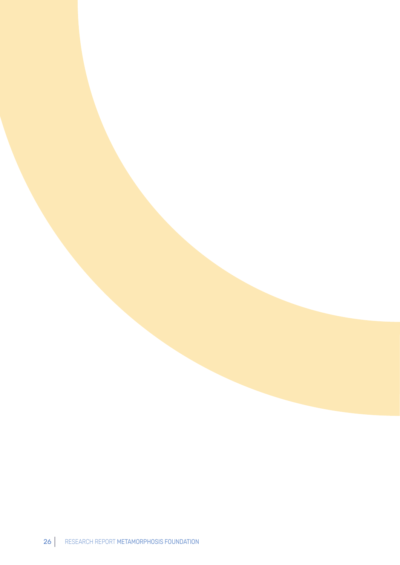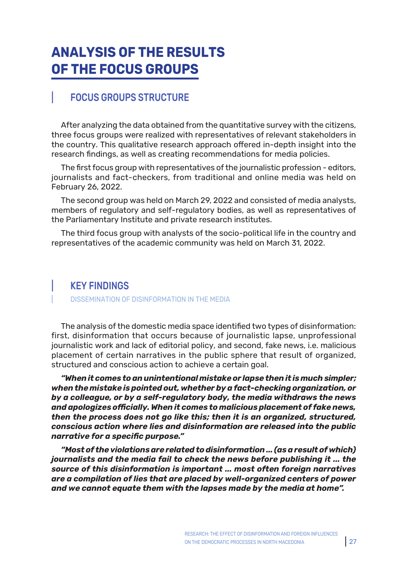## **ANALYSIS OF THE RESULTS OF THE FOCUS GROUPS**

### | FOCUS GROUPS STRUCTURE

After analyzing the data obtained from the quantitative survey with the citizens, three focus groups were realized with representatives of relevant stakeholders in the country. This qualitative research approach offered in-depth insight into the research findings, as well as creating recommendations for media policies.

The first focus group with representatives of the journalistic profession - editors, journalists and fact-checkers, from traditional and online media was held on February 26, 2022.

The second group was held on March 29, 2022 and consisted of media analysts, members of regulatory and self-regulatory bodies, as well as representatives of the Parliamentary Institute and private research institutes.

The third focus group with analysts of the socio-political life in the country and representatives of the academic community was held on March 31, 2022.

| KEY FINDINGS

| DISSEMINATION OF DISINFORMATION IN THE MEDIA

The analysis of the domestic media space identified two types of disinformation: first, disinformation that occurs because of journalistic lapse, unprofessional journalistic work and lack of editorial policy, and second, fake news, i.e. malicious placement of certain narratives in the public sphere that result of organized, structured and conscious action to achieve a certain goal.

*"When it comes to an unintentional mistake or lapse then it is much simpler; when the mistake is pointed out, whether by a fact-checking organization, or by a colleague, or by a self-regulatory body, the media withdraws the news and apologizes officially. When it comes to malicious placement of fake news, then the process does not go like this; then it is an organized, structured, conscious action where lies and disinformation are released into the public narrative for a specific purpose."*

*"Most of the violations are related to disinformation ... (as a result of which) journalists and the media fail to check the news before publishing it ... the source of this disinformation is important ... most often foreign narratives are a compilation of lies that are placed by well-organized centers of power and we cannot equate them with the lapses made by the media at home".*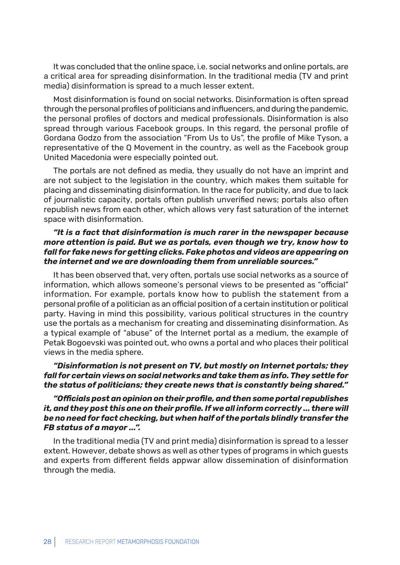It was concluded that the online space, i.e. social networks and online portals, are a critical area for spreading disinformation. In the traditional media (TV and print media) disinformation is spread to a much lesser extent.

Most disinformation is found on social networks. Disinformation is often spread through the personal profiles of politicians and influencers, and during the pandemic, the personal profiles of doctors and medical professionals. Disinformation is also spread through various Facebook groups. In this regard, the personal profile of Gordana Godzo from the association "From Us to Us", the profile of Mike Tyson, a representative of the Q Movement in the country, as well as the Facebook group United Macedonia were especially pointed out.

The portals are not defined as media, they usually do not have an imprint and are not subject to the legislation in the country, which makes them suitable for placing and disseminating disinformation. In the race for publicity, and due to lack of journalistic capacity, portals often publish unverified news; portals also often republish news from each other, which allows very fast saturation of the internet space with disinformation.

#### *"It is a fact that disinformation is much rarer in the newspaper because more attention is paid. But we as portals, even though we try, know how to fall for fake news for getting clicks. Fake photos and videos are appearing on the internet and we are downloading them from unreliable sources."*

It has been observed that, very often, portals use social networks as a source of information, which allows someone's personal views to be presented as "official" information. For example, portals know how to publish the statement from a personal profile of a politician as an official position of a certain institution or political party. Having in mind this possibility, various political structures in the country use the portals as a mechanism for creating and disseminating disinformation. As a typical example of "abuse" of the Internet portal as a medium, the example of Petak Bogoevski was pointed out, who owns a portal and who places their political views in the media sphere.

#### *"Disinformation is not present on TV, but mostly on Internet portals; they fall for certain views on social networks and take them as info. They settle for the status of politicians; they create news that is constantly being shared."*

#### *"Officials post an opinion on their profile, and then some portal republishes it, and they post this one on their profile. If we all inform correctly ... there will be no need for fact checking, but when half of the portals blindly transfer the FB status of a mayor ...".*

In the traditional media (TV and print media) disinformation is spread to a lesser extent. However, debate shows as well as other types of programs in which guests and experts from different fields appwar allow dissemination of disinformation through the media.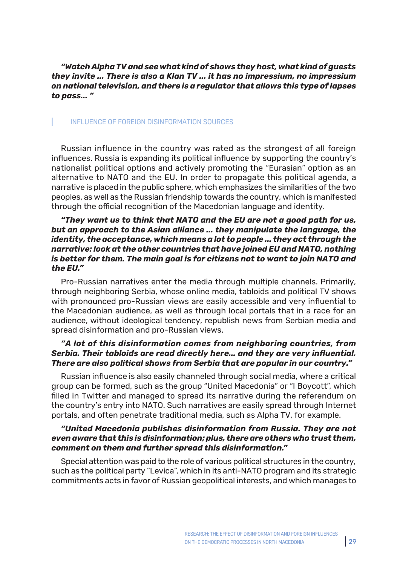*"Watch Alpha TV and see what kind of shows they host, what kind of guests they invite ... There is also a Klan TV ... it has no impressium, no impressium on national television, and there is a regulator that allows this type of lapses to pass... "*

#### | INFLUENCE OF FOREIGN DISINFORMATION SOURCES

Russian influence in the country was rated as the strongest of all foreign influences. Russia is expanding its political influence by supporting the country's nationalist political options and actively promoting the "Eurasian" option as an alternative to NATO and the EU. In order to propagate this political agenda, a narrative is placed in the public sphere, which emphasizes the similarities of the two peoples, as well as the Russian friendship towards the country, which is manifested through the official recognition of the Macedonian language and identity.

#### *"They want us to think that NATO and the EU are not a good path for us, but an approach to the Asian alliance ... they manipulate the language, the identity, the acceptance, which means a lot to people ... they act through the narrative: look at the other countries that have joined EU and NATO, nothing is better for them. The main goal is for citizens not to want to join NATO and the EU."*

Pro-Russian narratives enter the media through multiple channels. Primarily, through neighboring Serbia, whose online media, tabloids and political TV shows with pronounced pro-Russian views are easily accessible and very influential to the Macedonian audience, as well as through local portals that in a race for an audience, without ideological tendency, republish news from Serbian media and spread disinformation and pro-Russian views.

#### *"A lot of this disinformation comes from neighboring countries, from Serbia. Their tabloids are read directly here... and they are very influential. There are also political shows from Serbia that are popular in our country."*

Russian influence is also easily channeled through social media, where a critical group can be formed, such as the group "United Macedonia" or "I Boycott", which filled in Twitter and managed to spread its narrative during the referendum on the country's entry into NATO. Such narratives are easily spread through Internet portals, and often penetrate traditional media, such as Alpha TV, for example.

#### *"United Macedonia publishes disinformation from Russia. They are not even aware that this is disinformation; plus, there are others who trust them, comment on them and further spread this disinformation."*

Special attention was paid to the role of various political structures in the country, such as the political party "Levica", which in its anti-NATO program and its strategic commitments acts in favor of Russian geopolitical interests, and which manages to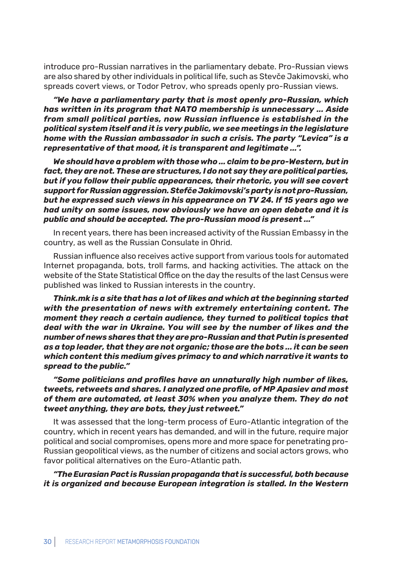introduce pro-Russian narratives in the parliamentary debate. Pro-Russian views are also shared by other individuals in political life, such as Stevče Jakimovski, who spreads covert views, or Todor Petrov, who spreads openly pro-Russian views.

*"We have a parliamentary party that is most openly pro-Russian, which has written in its program that NATO membership is unnecessary ... Aside from small political parties, now Russian influence is established in the political system itself and it is very public, we see meetings in the legislature home with the Russian ambassador in such a crisis. The party "Levica" is a representative of that mood, it is transparent and legitimate ...".*

*We should have a problem with those who ... claim to be pro-Western, but in fact, they are not. These are structures, I do not say they are political parties, but if you follow their public appearances, their rhetoric, you will see covert support for Russian aggression. Stefče Jakimovski's party is not pro-Russian, but he expressed such views in his appearance on TV 24. If 15 years ago we had unity on some issues, now obviously we have an open debate and it is public and should be accepted. The pro-Russian mood is present ..."*

In recent years, there has been increased activity of the Russian Embassy in the country, as well as the Russian Consulate in Ohrid.

Russian influence also receives active support from various tools for automated Internet propaganda, bots, troll farms, and hacking activities. The attack on the website of the State Statistical Office on the day the results of the last Census were published was linked to Russian interests in the country.

*Think.mk is a site that has a lot of likes and which at the beginning started with the presentation of news with extremely entertaining content. The moment they reach a certain audience, they turned to political topics that deal with the war in Ukraine. You will see by the number of likes and the number of news shares that they are pro-Russian and that Putin is presented as a top leader, that they are not organic; those are the bots ... it can be seen which content this medium gives primacy to and which narrative it wants to spread to the public."*

#### *"Some politicians and profiles have an unnaturally high number of likes, tweets, retweets and shares. I analyzed one profile, of MP Apasiev and most of them are automated, at least 30% when you analyze them. They do not tweet anything, they are bots, they just retweet."*

It was assessed that the long-term process of Euro-Atlantic integration of the country, which in recent years has demanded, and will in the future, require major political and social compromises, opens more and more space for penetrating pro-Russian geopolitical views, as the number of citizens and social actors grows, who favor political alternatives on the Euro-Atlantic path.

#### *"The Eurasian Pact is Russian propaganda that is successful, both because it is organized and because European integration is stalled. In the Western*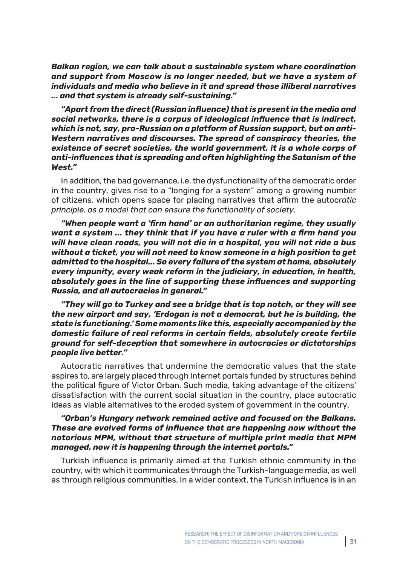*Balkan region, we can talk about a sustainable system where coordination and support from Moscow is no longer needed, but we have a system of individuals and media who believe in it and spread those illiberal narratives ... and that system is already self-sustaining."* 

*"Apart from the direct (Russian influence) that is present in the media and social networks, there is a corpus of ideological influence that is indirect, which is not, say, pro-Russian on a platform of Russian support, but on anti-Western narratives and discourses. The spread of conspiracy theories, the existence of secret societies, the world government, it is a whole corps of anti-influences that is spreading and often highlighting the Satanism of the West."*

In addition, the bad governance, i.e. the dysfunctionality of the democratic order in the country, gives rise to a "longing for a system" among a growing number of citizens, which opens space for placing narratives that affirm the autoc*ratic principle, as a model that can ensure the functionality of society.*

*"When people want a 'firm hand' or an authoritarian regime, they usually want a system ... they think that if you have a ruler with a firm hand you will have clean roads, you will not die in a hospital, you will not ride a bus without a ticket, you will not need to know someone in a high position to get admitted to the hospital... So every failure of the system at home, absolutely every impunity, every weak reform in the judiciary, in education, in health, absolutely goes in the line of supporting these influences and supporting Russia, and all autocracies in general."*

*"They will go to Turkey and see a bridge that is top notch, or they will see the new airport and say, 'Erdogan is not a democrat, but he is building, the state is functioning.' Some moments like this, especially accompanied by the domestic failure of real reforms in certain fields, absolutely create fertile ground for self-deception that somewhere in autocracies or dictatorships people live better."*

Autocratic narratives that undermine the democratic values that the state aspires to, are largely placed through Internet portals funded by structures behind the political figure of Victor Orban. Such media, taking advantage of the citizens' dissatisfaction with the current social situation in the country, place autocratic ideas as viable alternatives to the eroded system of government in the country.

#### *"Orban's Hungary network remained active and focused on the Balkans. These are evolved forms of influence that are happening now without the notorious MPM, without that structure of multiple print media that MPM managed, now it is happening through the internet portals."*

Turkish influence is primarily aimed at the Turkish ethnic community in the country, with which it communicates through the Turkish-language media, as well as through religious communities. In a wider context, the Turkish influence is in an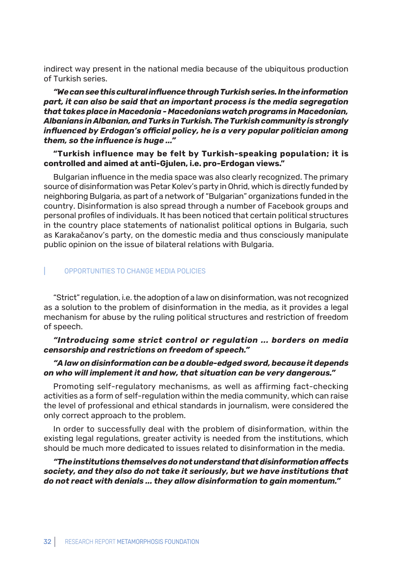indirect way present in the national media because of the ubiquitous production of Turkish series.

*"We can see this cultural influence through Turkish series. In the information part, it can also be said that an important process is the media segregation that takes place in Macedonia - Macedonians watch programs in Macedonian, Albanians in Albanian, and Turks in Turkish. The Turkish community is strongly influenced by Erdogan's official policy, he is a very popular politician among them, so the influence is huge ..."*

#### **"Turkish influence may be felt by Turkish-speaking population; it is controlled and aimed at anti-Gjulen, i.e. pro-Erdogan views."**

Bulgarian influence in the media space was also clearly recognized. The primary source of disinformation was Petar Kolev's party in Ohrid, which is directly funded by neighboring Bulgaria, as part of a network of "Bulgarian" organizations funded in the country. Disinformation is also spread through a number of Facebook groups and personal profiles of individuals. It has been noticed that certain political structures in the country place statements of nationalist political options in Bulgaria, such as Karakačanov's party, on the domestic media and thus consciously manipulate public opinion on the issue of bilateral relations with Bulgaria.

#### | OPPORTUNITIES TO CHANGE MEDIA POLICIES

"Strict" regulation, i.e. the adoption of a law on disinformation, was not recognized as a solution to the problem of disinformation in the media, as it provides a legal mechanism for abuse by the ruling political structures and restriction of freedom of speech.

#### *"Introducing some strict control or regulation ... borders on media censorship and restrictions on freedom of speech."*

#### *"A law on disinformation can be a double-edged sword, because it depends on who will implement it and how, that situation can be very dangerous."*

Promoting self-regulatory mechanisms, as well as affirming fact-checking activities as a form of self-regulation within the media community, which can raise the level of professional and ethical standards in journalism, were considered the only correct approach to the problem.

In order to successfully deal with the problem of disinformation, within the existing legal regulations, greater activity is needed from the institutions, which should be much more dedicated to issues related to disinformation in the media.

#### *"The institutions themselves do not understand that disinformation affects society, and they also do not take it seriously, but we have institutions that do not react with denials ... they allow disinformation to gain momentum."*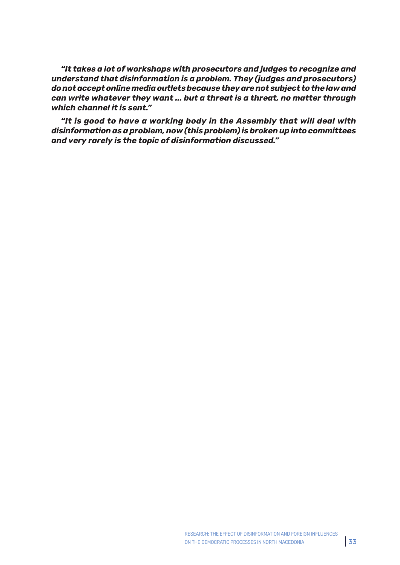*"It takes a lot of workshops with prosecutors and judges to recognize and understand that disinformation is a problem. They (judges and prosecutors) do not accept online media outlets because they are not subject to the law and can write whatever they want ... but a threat is a threat, no matter through which channel it is sent."*

*"It is good to have a working body in the Assembly that will deal with disinformation as a problem, now (this problem) is broken up into committees and very rarely is the topic of disinformation discussed."*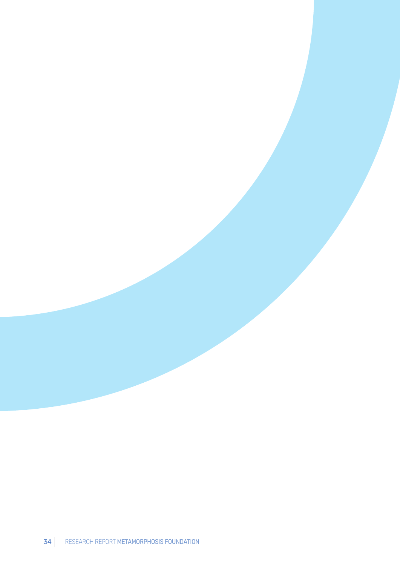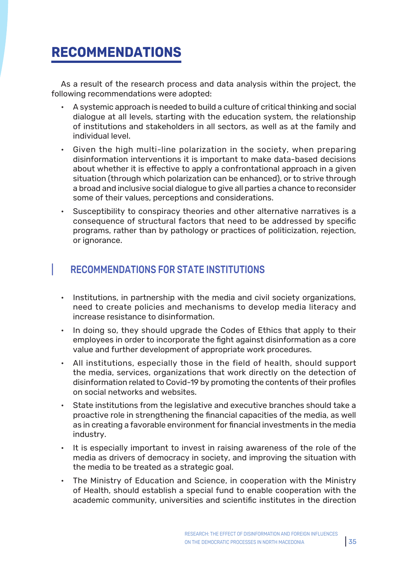## **recommendations**

As a result of the research process and data analysis within the project, the following recommendations were adopted:

- A systemic approach is needed to build a culture of critical thinking and social dialogue at all levels, starting with the education system, the relationship of institutions and stakeholders in all sectors, as well as at the family and individual level.
- Given the high multi-line polarization in the society, when preparing disinformation interventions it is important to make data-based decisions about whether it is effective to apply a confrontational approach in a given situation (through which polarization can be enhanced), or to strive through a broad and inclusive social dialogue to give all parties a chance to reconsider some of their values, perceptions and considerations.
- Susceptibility to conspiracy theories and other alternative narratives is a consequence of structural factors that need to be addressed by specific programs, rather than by pathology or practices of politicization, rejection, or ignorance.

### | RECOMMENDATIONS FOR STATE INSTITUTIONS

- Institutions, in partnership with the media and civil society organizations, need to create policies and mechanisms to develop media literacy and increase resistance to disinformation.
- In doing so, they should upgrade the Codes of Ethics that apply to their employees in order to incorporate the fight against disinformation as a core value and further development of appropriate work procedures.
- All institutions, especially those in the field of health, should support the media, services, organizations that work directly on the detection of disinformation related to Covid-19 by promoting the contents of their profiles on social networks and websites.
- State institutions from the legislative and executive branches should take a proactive role in strengthening the financial capacities of the media, as well as in creating a favorable environment for financial investments in the media industry.
- It is especially important to invest in raising awareness of the role of the media as drivers of democracy in society, and improving the situation with the media to be treated as a strategic goal.
- The Ministry of Education and Science, in cooperation with the Ministry of Health, should establish a special fund to enable cooperation with the academic community, universities and scientific institutes in the direction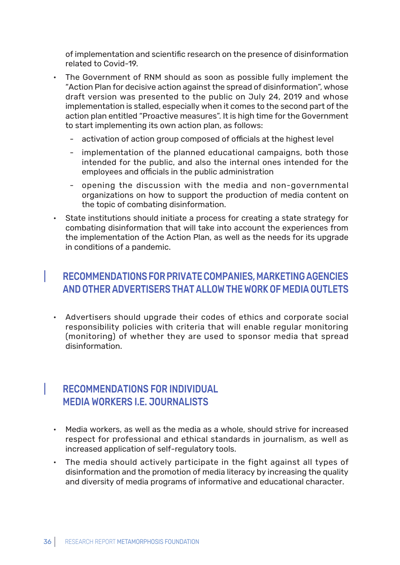of implementation and scientific research on the presence of disinformation related to Covid-19.

- The Government of RNM should as soon as possible fully implement the "Action Plan for decisive action against the spread of disinformation", whose draft version was presented to the public on July 24, 2019 and whose implementation is stalled, especially when it comes to the second part of the action plan entitled "Proactive measures". It is high time for the Government to start implementing its own action plan, as follows:
	- activation of action group composed of officials at the highest level
	- implementation of the planned educational campaigns, both those intended for the public, and also the internal ones intended for the employees and officials in the public administration
	- opening the discussion with the media and non-governmental organizations on how to support the production of media content on the topic of combating disinformation.
- State institutions should initiate a process for creating a state strategy for combating disinformation that will take into account the experiences from the implementation of the Action Plan, as well as the needs for its upgrade in conditions of a pandemic.

### | RECOMMENDATIONS FOR PRIVATE COMPANIES, MARKETING AGENCIES AND OTHER ADVERTISERS THAT ALLOW THE WORK OF MEDIA OUTLETS

• Advertisers should upgrade their codes of ethics and corporate social responsibility policies with criteria that will enable regular monitoring (monitoring) of whether they are used to sponsor media that spread disinformation.

### | RECOMMENDATIONS FOR INDIVIDUAL MEDIA WORKERS I.E. JOURNALISTS

- Media workers, as well as the media as a whole, should strive for increased respect for professional and ethical standards in journalism, as well as increased application of self-regulatory tools.
- The media should actively participate in the fight against all types of disinformation and the promotion of media literacy by increasing the quality and diversity of media programs of informative and educational character.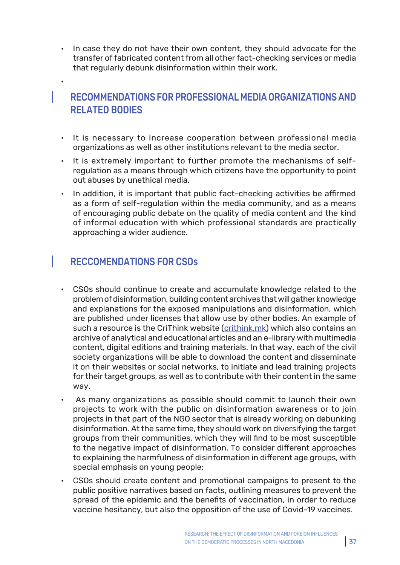• In case they do not have their own content, they should advocate for the transfer of fabricated content from all other fact-checking services or media that regularly debunk disinformation within their work.

## | RECOMMENDATIONS FOR PROFESSIONAL MEDIA ORGANIZATIONS AND RELATED BODIES

- It is necessary to increase cooperation between professional media organizations as well as other institutions relevant to the media sector.
- It is extremely important to further promote the mechanisms of selfregulation as a means through which citizens have the opportunity to point out abuses by unethical media.
- In addition, it is important that public fact-checking activities be affirmed as a form of self-regulation within the media community, and as a means of encouraging public debate on the quality of media content and the kind of informal education with which professional standards are practically approaching a wider audience.

## | RECCOMENDATIONS FOR CSOs

•

- CSOs should continue to create and accumulate knowledge related to the problem of disinformation, building content archives that will gather knowledge and explanations for the exposed manipulations and disinformation, which are published under licenses that allow use by other bodies. An example of such a resource is the CriThink website (crithink.mk) which also contains an archive of analytical and educational articles and an e-library with multimedia content, digital editions and training materials. In that way, each of the civil society organizations will be able to download the content and disseminate it on their websites or social networks, to initiate and lead training projects for their target groups, as well as to contribute with their content in the same way.
- As many organizations as possible should commit to launch their own projects to work with the public on disinformation awareness or to join projects in that part of the NGO sector that is already working on debunking disinformation. At the same time, they should work on diversifying the target groups from their communities, which they will find to be most susceptible to the negative impact of disinformation. To consider different approaches to explaining the harmfulness of disinformation in different age groups, with special emphasis on young people;
- CSOs should create content and promotional campaigns to present to the public positive narratives based on facts, outlining measures to prevent the spread of the epidemic and the benefits of vaccination, in order to reduce vaccine hesitancy, but also the opposition of the use of Covid-19 vaccines.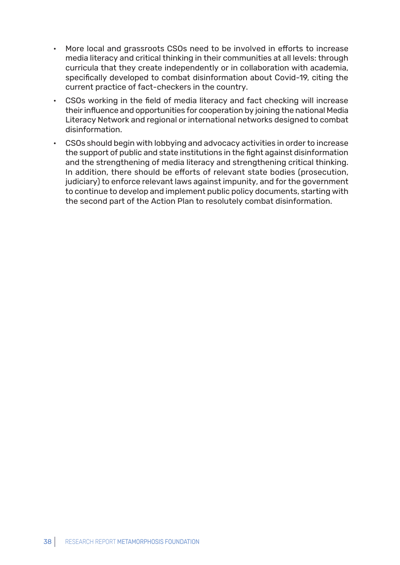- More local and grassroots CSOs need to be involved in efforts to increase media literacy and critical thinking in their communities at all levels: through curricula that they create independently or in collaboration with academia, specifically developed to combat disinformation about Covid-19, citing the current practice of fact-checkers in the country.
- CSOs working in the field of media literacy and fact checking will increase their influence and opportunities for cooperation by joining the national Media Literacy Network and regional or international networks designed to combat disinformation.
- CSOs should begin with lobbying and advocacy activities in order to increase the support of public and state institutions in the fight against disinformation and the strengthening of media literacy and strengthening critical thinking. In addition, there should be efforts of relevant state bodies (prosecution, judiciary) to enforce relevant laws against impunity, and for the government to continue to develop and implement public policy documents, starting with the second part of the Action Plan to resolutely combat disinformation.